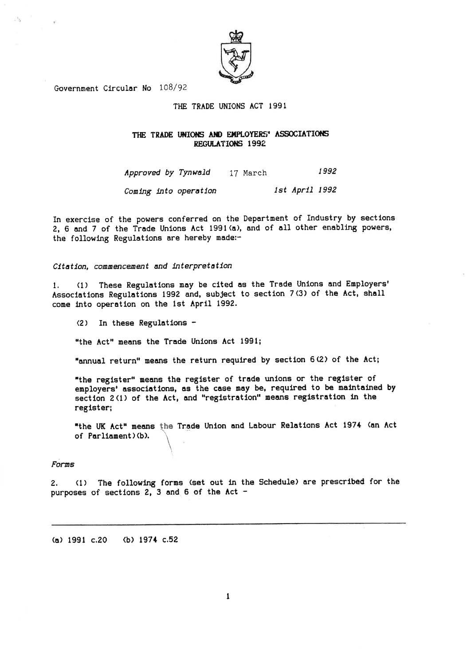

Government Circular No 108/92

#### THE TRADE UNIONS ACT 1991

### THE TRADE UNIONS AND EMPLOYERS' ASSOCIATIONS REGULATIONS 1992

1992 Approved by Tynwald 17 March

1st April 1992 Coming into operation

In exercise of the powers conferred on the Department of Industry by sections 2, 6 and 7 of the Trade Unions Act 1991 (a), and of all other enabling powers, the following Regulations are hereby made:-

Citation, commencement and interpretation

These Regulations may be cited as the Trade Unions and Employers'  $(1)$ 1. Associations Regulations 1992 and, subject to section 7(3) of the Act, shall come into operation on the 1st April 1992.

 $(2)$  In these Regulations -

"the Act" means the Trade Unions Act 1991;

"annual return" means the return required by section 6(2) of the Act;

"the register" means the register of trade unions or the register of employers' associations, as the case may be, required to be maintained by section 2(1) of the Act, and "registration" means registration in the register;

"the UK Act" means the Trade Union and Labour Relations Act 1974 (an Act of Parliament)(b).

### Forms

(1) The following forms (set out in the Schedule) are prescribed for the  $2.$ purposes of sections 2, 3 and 6 of the Act -

(a) 1991 c.20 (b) 1974 c.52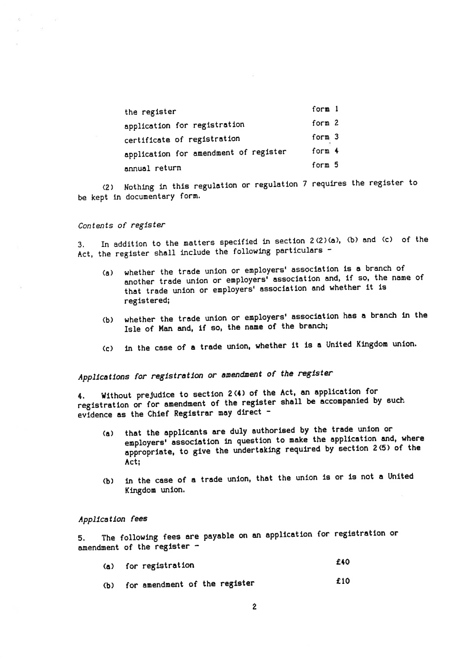| the register                          | form 1   |
|---------------------------------------|----------|
| application for registration          | form $2$ |
| certificate of registration           | form $3$ |
| application for amendment of register | form $4$ |
| snnual return                         | form 5   |

(2) Nothing in this regulation or regulation 7 requires the register to be kept in documentary form.

### Contents of register

In addition to the matters specified in section 2(2)(a), (b) and (c) of the  $3.$ Act, the register shall include the following particulars -

- whether the trade union or employers' association is a branch of  $(a)$ another trade union or employers' association and, if so, the name of that trade union or employers' association and whether it is registered;
- whether the trade union or employers' association has a branch in the  $(b)$ Isle of Man and, if so, the name of the branch;
- in the case of a trade union, whether it is a United Kingdom union.  $(c)$

# Applications for registration or amendment of the register

Without prejudice to section 2(4) of the Act, an application for 4. registration or for amendment of the register shall be accompanied by such evidence as the Chief Registrar may direct -

- that the applicants are duly authorised by the trade union or  $(a)$ employers' association in question to make the application and, where appropriate, to give the undertaking required by section 2(5) of the Act;
- in the case of a trade union, that the union is or is not a United  $(b)$ Kingdom union.

#### Application fees

The following fees are payable on an application for registration or 5. amendment of the register -

|  | (a) for registration<br>(b) for amendment of the register | £40 |
|--|-----------------------------------------------------------|-----|
|  |                                                           | £10 |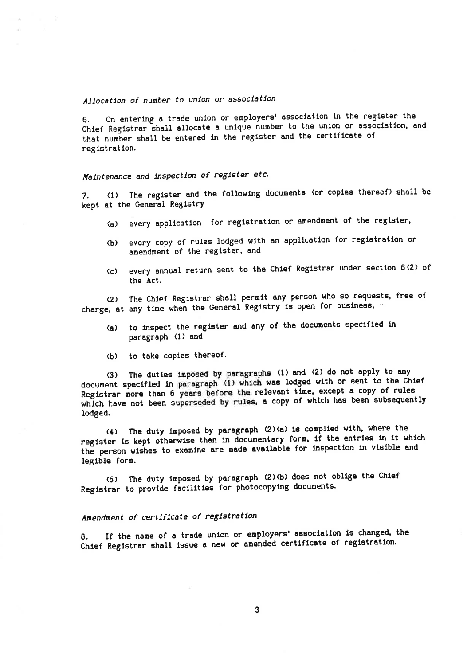### Allocation of number to union or association

On entering a trade union or employers' association in the register the 6. Chief Registrar shall allocate a unique number to the union or association, and that number shall be entered in the register and the certificate of registration.

## Maintenance and inspection of register etc.

(1) The register and the following documents (or copies thereof) shall be 7. kept at the General Registry -

- every application for registration or amendment of the register,  $(a)$
- (b) every copy of rules lodged with an application for registration or amendment of the register, and
- every annual return sent to the Chief Registrar under section 6(2) of  $(c)$ the Act.

The Chief Registrar shall permit any person who so requests, free of  $(2)$ charge, at any time when the General Registry is open for business, -

- to inspect the register and any of the documents specified in  $(a)$ paragraph (1) and
- to take copies thereof.  $(b)$

The duties imposed by paragraphs (1) and (2) do not apply to any  $(3)$ document specified in paragraph (1) which was lodged with or sent to the Chief Registrar more than 6 years before the relevant time, except a copy of rules which have not been superseded by rules, a copy of which has been subsequently lodged.

The duty imposed by paragraph (2)(a) is complied with, where the  $(4)$ register is kept otherwise than in documentary form, if the entries in it which the person wishes to examine are made available for inspection in visible and legible form.

(5) The duty imposed by paragraph (2)(b) does not oblige the Chief Registrar to provide facilities for photocopying documents.

## Amendment of certificate of registration

If the name of a trade union or employers' association is changed, the 8. Chief Registrar shall issue a new or amended certificate of registration.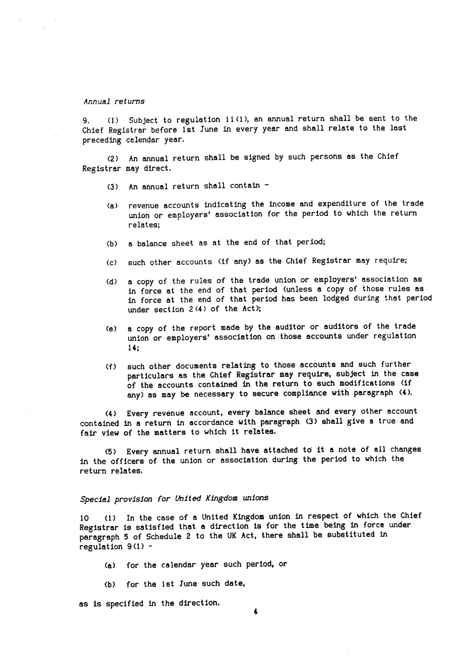#### Annual returns

9.  $(1)$  Subject to regulation 11(1), an annual return shall be sent to the Chief Registrar before lst June in every year and shall relate to the last preceding calendar year.

(2) An annual return shall be slgned by such Persons as the Chlef Regfstrar nay dlrect.

- (3) An annual return shall contain  $-$
- (a) revenue accounts fndlcating the lncoue and expendlture of the trade unlon or enployers' agsoclatlon for the perlod to whlch the return relates;
- (b) a balance sheet as at the end of that perlod;
- (c) such other accounts (if any) as the Chief Registrar may require;
- (d) a copy of the rules of the trade union or employers' association as in force at the end of that period (unless a copy of those rules as ln force at the end of that perlod has been lodged durtng that perfod under section  $2(4)$  of the Act);
- (e) a copy of the report nade by the audltor or audltors of the trade union or employers' association on those accounts under regulation 14¡
- (f) auch other docunents relatlng to those accounts and euch furthen particulars as the Chief Registrar may require, subject in the case of the accounts contained in the return to such modifications (if any) as may be necessary to secure compliance with paragraph (4).

(4) Every revenue account, every balance sheet and every other account contained ln a return ln accordance wlth paragraph (3) ahall glve a true and fair view of the matters to which it relates.

(5) Every annual return shall have attached to' lt a note of all changes ln the offlcers of the unlon or associatlon durlng the perlod to whlch the return relates.

### Special provision for United Kingdom unions

10 (1) In the case of a United Kingdom union in respect of which the Chief Registrar is satisfied that a direction is for the time being in force under paragraph 5 of Schedule 2 to the UK Act, there shall be substituted in regulation  $9(1)$  -

- (a) for the calendar year such period, or
- (b) for the ist June such date,

as is specified in the direction.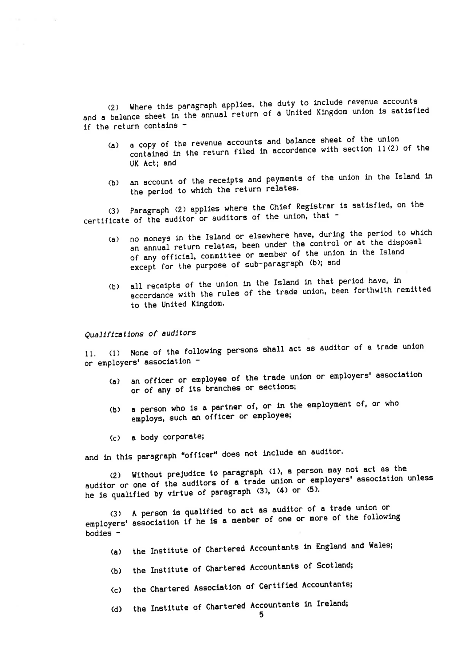Where this paragraph applies, the duty to include revenue accounts and a balance sheet in the annual return of a United Kingdom union is satisfied if the return contains -

- a copy of the revenue accounts and balance sheet of the union contained in the return filed in accordance with section 11(2) of the  $(a)$ UK Act; and
- (b) an account of the receipts and payments of the union in the Island in the period to which the return relates.

Paragraph (2) applies where the Chief Registrar is satisfied, on the  $(3)$ certificate of the auditor or auditors of the union, that -

- no moneys in the Island or elsewhere have, during the period to which an annual return relates, been under the control or at the disposal  $(a)$ of any official, committee or member of the union in the Island except for the purpose of sub-paragraph (b); and
- (b) all receipts of the union in the Island in that period have, in accordance with the rules of the trade union, been forthwith remitted to the United Kingdom.

Qualifications of auditors

11. (1) None of the following persons shall act as auditor of a trade union or employers' association -

- an officer or employee of the trade union or employers' association  $(a)$ or of any of its branches or sections;
- a person who is a partner of, or in the employment of, or who (P) employs, such an officer or employee;
- a body corporate;  $(c)$

and in this paragraph "officer" does not include an auditor.

(2) Without prejudice to paragraph (1), a person may not act as the auditor or one of the auditors of a trade union or employers' association unless he is qualified by virtue of paragraph (3), (4) or (5).

(3) A person is qualified to act as auditor of a trade union or employers' association if he is a member of one or more of the following bodies -

- the Institute of Chartered Accountants in England and Wales;  $(a)$
- (b) the Institute of Chartered Accountants of Scotland;
- (c) the Chartered Association of Certified Accountants;

the Institute of Chartered Accountants in Ireland;  $(d)$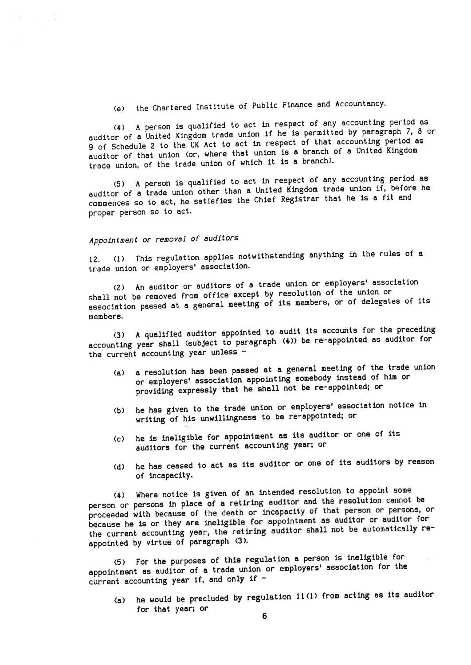the Chartered Institute of Public Finance and Accountancy.  $(e)$ 

(4) A person is qualified to act in respect of any accounting period as auditor of a United Kingdom trade union if he is permitted by paragraph 7, 8 or 9 of Schedule 2 to the UK Act to act in respect of that accounting period as auditor of that union (or, where that union is a branch of a United Kingdom trade union, of the trade union of which it is a branch).

(5) A person is qualified to act in respect of any accounting period as auditor of a trade union other than a United Kingdom trade union if, before he commences so to act, he satisfies the Chief Registrar that he is a fit and proper person so to act.

## Appointment or removal of auditors

(1) This regulation applies notwithstanding anything in the rules of a  $12.$ trade union or employers' association.

(2) An auditor or auditors of a trade union or employers' association shall not be removed from office except by resolution of the union or association passed at a general meeting of its members, or of delegates of its members.

A qualified auditor appointed to audit its accounts for the preceding  $(3)$ accounting year shall (subject to paragraph (4)) be re-appointed as auditor for the current accounting year unless -

- a resolution has been passed at a general meeting of the trade union  $(a)$ or employers' association appointing somebody instead of him or providing expressly that he shall not be re-appointed; or
- he has given to the trade union or employers' association notice in  $(b)$ writing of his unwillingness to be re-appointed; or
- he is ineligible for appointment as its auditor or one of its  $(c)$ auditors for the current accounting year; or
- (d) he has ceased to act as its auditor or one of its auditors by reason of incapacity.

(4) Where notice is given of an intended resolution to appoint some person or persons in place of a retiring auditor and the resolution cannot be proceeded with because of the death or incapacity of that person or persons, or because he is or they are ineligible for appointment as auditor or auditor for the current accounting year, the retiring auditor shall not be automatically reappointed by virtue of paragraph (3).

(5) For the purposes of this regulation a person is ineligible for appointment as auditor of a trade union or employers' association for the current accounting year if, and only if  $-$ 

he would be precluded by regulation 11(1) from acting as its auditor  $(a)$ for that year; or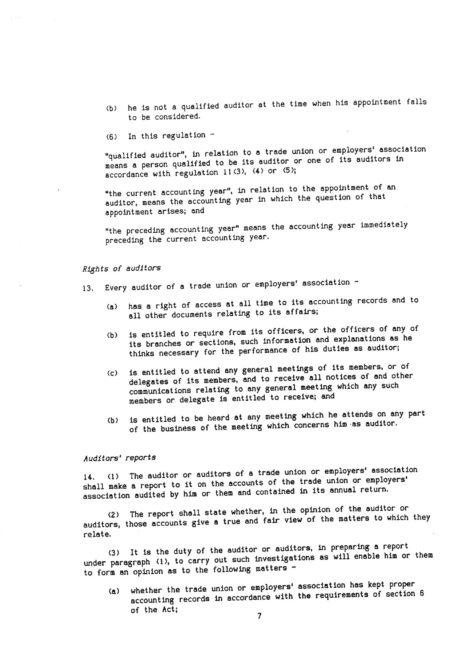- he is not a qualified auditor at the time when his appointment falls  $(b)$ to be considered.
- In this regulation - $(6)$

"qualified auditor", in relation to a trade union or employers' association means a person qualified to be its auditor or one of its auditors in accordance with regulation 11(3), (4) or (5);

"the current accounting year", in relation to the appointment of an auditor, means the accounting year in which the question of that appointment arises; and

"the preceding accounting year" means the accounting year immediately preceding the current accounting year.

### Rights of auditors

- Every auditor of a trade union or employers' association - $13.$ 
	- has a right of access at all time to its accounting records and to  $(a)$ all other documents relating to its affairs;
	- is entitled to require from its officers, or the officers of any of its branches or sections, such information and explanations as he  $(b)$ thinks necessary for the performance of his duties as auditor;
	- is entitled to attend any general meetings of its members, or of  $\langle c \rangle$ delegates of its members, and to receive all notices of and other communications relating to any general meeting which any such members or delegate is entitled to receive; and
	- (b) is entitled to be heard at any meeting which he attends on any part of the business of the meeting which concerns him as auditor.

### Auditors' reports

The auditor or auditors of a trade union or employers' association  $14. (1)$ shall make a report to it on the accounts of the trade union or employers' association audited by him or them and contained in its annual return.

The report shall state whether, in the opinion of the auditor or auditors, those accounts give a true and fair view of the matters to which they relate.

It is the duty of the auditor or auditors, in preparing a report under paragraph (1), to carry out such investigations as will enable him or them to form an opinion as to the following matters -

whether the trade union or employers' association has kept proper accounting records in accordance with the requirements of section 6  $(a)$ of the Act;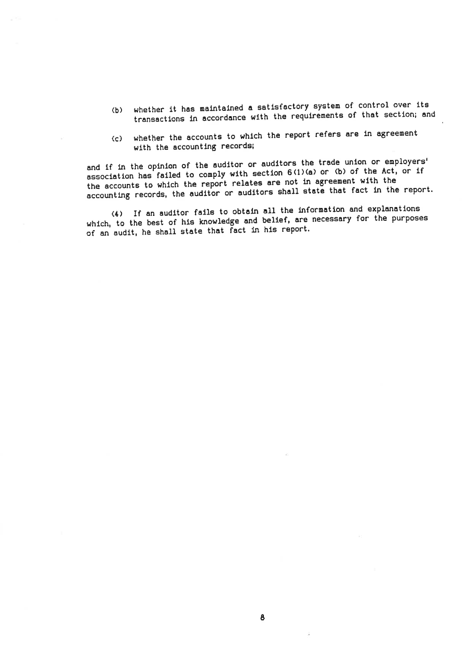- (b) whether it has maintained a satisfactory system of control over its transactions in accordance with the requirements of that section; and
- (c) whether the accounts to which the report refers are in agreement with the accounting records;

and if in the opinion of the auditor or auditors the trade union or employers' association has failed to comply with section 6(1)(a) or (b) of the Act, or if the accounts to which the report relates are not in agreement with the accounting records, the auditor or auditors shall state that fact in the report.

(4) If an auditor fails to obtain all the information and explanations which, to the best of his knowledge and belief, are necessary for the purposes of an audit, he shall state that fact in his report.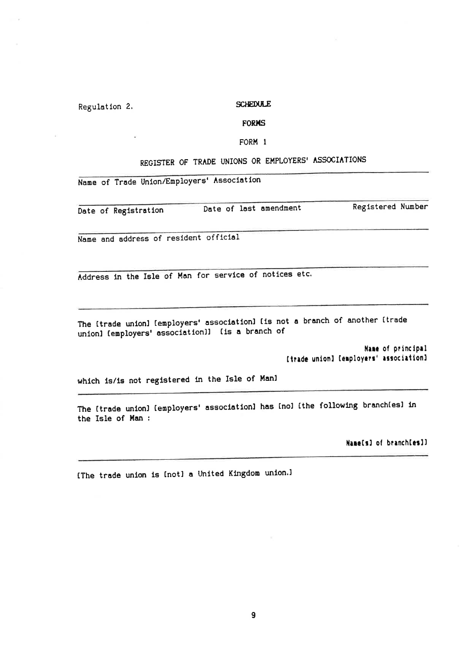### Regulation 2.

#### **SCHEDULE**

### **FORMS**

#### FORM 1

## REGISTER OF TRADE UNIONS OR EMPLOYERS' ASSOCIATIONS

Name of Trade Union/Employers' Association

Date of Registration

Date of last amendment

**Registered Number** 

Name and address of resident official

Address in the Isle of Man for service of notices etc.

The Itrade unionl [employers' association] Iis not a branch of another Itrade unionl (employers' associationl) (is a branch of

> Name of principal [trade union] [employers' association]

which is/is not registered in the Isle of Manl

The Itrade union) (employers' association) has Inol Ithe following branch(es) in the Isle of Man :

Name[s] of branch[es]]

IThe trade union is Inotl a United Kingdom union.1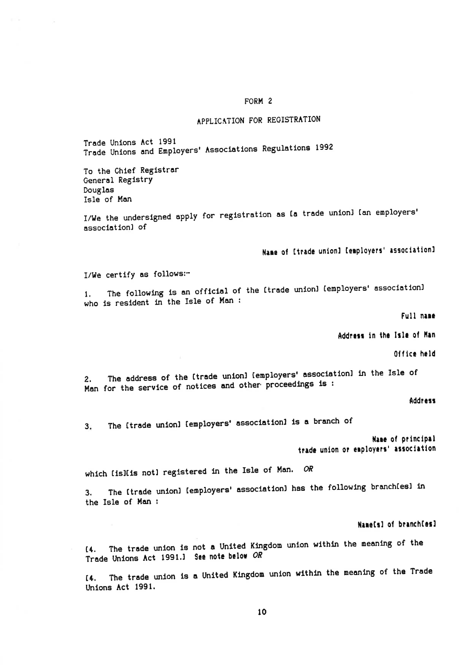### FORM<sub>2</sub>

## APPLICATION FOR REGISTRATION

Trade Unions Act 1991 Trade Unions and Employers' Associations Regulations 1992

To the Chief Registrar General Registry Douglas Isle of Man

I/We the undersigned apply for registration as Ia trade unionl Ian employers' associationl of

Name of Itrade union] [employers' association]

I/We certify as follows:-

The following is an official of the Itrade unionl Iemployers' associationl  $1.$ who is resident in the Isle of Man :

Full name

Address in the Isle of Man

Office held

The address of the Itrade unionl Iemployers' associationl in the Isle of  $2.$ Man for the service of notices and other proceedings is :

**Address** 

The Itrade unionl Iemployers' associationl is a branch of  $3.$ 

> Name of principal trade union or employers' association

which Iislis notl registered in the Isle of Man. OR

The Itrade unionl Iemployers' associationl has the following branchiesl in  $3<sub>1</sub>$ the Isle of Man :

Name[s] of branch[es]

[4. The trade union is not a United Kingdom union within the meaning of the Trade Unions Act 1991.] See note below OR

[4. The trade union is a United Kingdom union within the meaning of the Trade Unions Act 1991.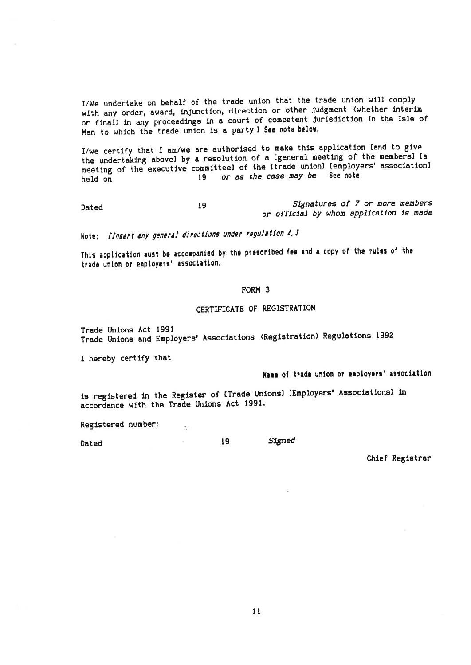I/We undertake on behalf of the trade union that the trade union will comply with any order, award, injunction, direction or other judgment (whether interim or final) in any proceedings in a court of competent jurisdiction in the Isle of Man to which the trade union is a party. I See note below,

I/we certify that I am/we are authorised to make this application (and to give the undertaking abovel by a resolution of a Igeneral meeting of the membersl ia meeting of the executive committeel of the (trade union) (employers' association) or as the case may be See note, 19 held on

Dated

19

Note; [Insert any general directions under regulation 4, ]

 $\mathbb{R}^2$ 

 $\mathbb{R}^+$ 

This application aust be accompanied by the prescribed fee and a copy of the rules of the trade union or employers' association,

#### FORM<sub>3</sub>

#### CERTIFICATE OF REGISTRATION

Trade Unions Act 1991 Trade Unions and Employers' Associations (Registration) Regulations 1992

I hereby certify that

## Name of trade union or employers' association

Signatures of 7 or more members

or official by whom application is made

is registered in the Register of [Trade Unions] [Employers' Associations] in accordance with the Trade Unions Act 1991.

19

Registered number:

Dated

Signed

Chief Registrar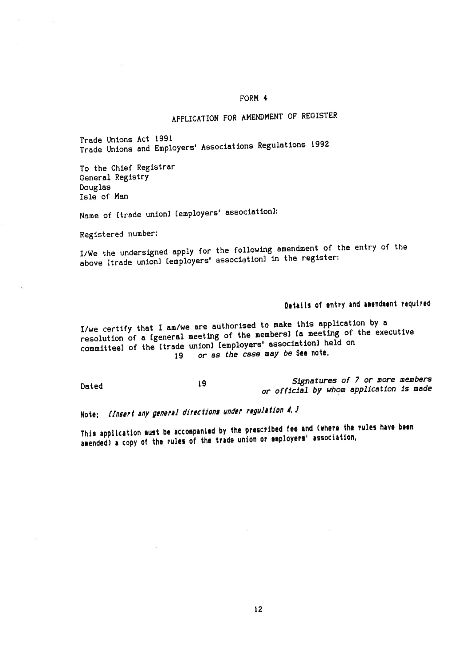### FORM 4

## APPLICATION FOR AMENDMENT OF REGISTER

Trade Unions Act 1991 Trade Unions and Employers' Associations Regulations 1992

To the Chief Registrar General Registry Douglas Isle of Man

Name of [trade union] [employers' association]:

Registered number:

I/We the undersigned apply for the following amendment of the entry of the above Itrade unionl lemployers' associationl in the register:

## Details of entry and amendment required

I/we certify that I am/we are authorised to make this application by a resolution of a [general meeting of the members] Ia meeting of the executive committeel of the Itrade unionl Iemployers' associationl held on 19 or as the case may be see note.

Signatures of 7 or more members 19 Dated or official by whom application is made

Note; finsert any general directions under regulation 4, J

This application must be accompanied by the prescribed fee and (where the rules have been amended) a copy of the rules of the trade union or employers' association.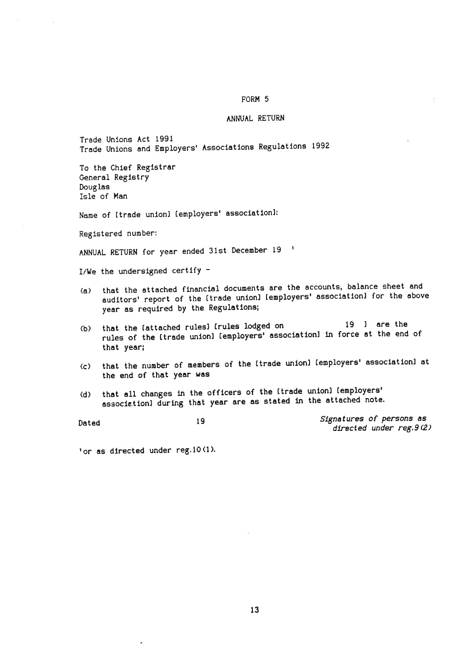### FORM 5

#### ANNUAL RETURN

Trade Unions Act 1991 Trade Unions and Employers' Associations Regulations 1992

To the Chief Registrar General Registry Douglas Isle of Man

Name of [trade union] [employers' association]:

Registered number:

ANNUAL RETURN for year ended 31st December 19 '

I/We the undersigned certify -

- that the attached financial documents are the accounts, balance sheet and  $(a)$ auditors' report of the [trade union] [employers' association] for the above year as required by the Regulations;
- 19 ] are the that the lattached rulesl Irules lodged on  $(b)$ rules of the Itrade unionl Iemployers' associationl in force at the end of that year;
- that the number of members of the [trade union] [employers' association] at  $\langle c \rangle$ the end of that year was
- (d) that all changes in the officers of the Itrade unionl Iemployers' associationl during that year are as stated in the attached note.

Signatures of persons as 19 Dated directed under reg. 9(2)

'or as directed under reg.10(1).